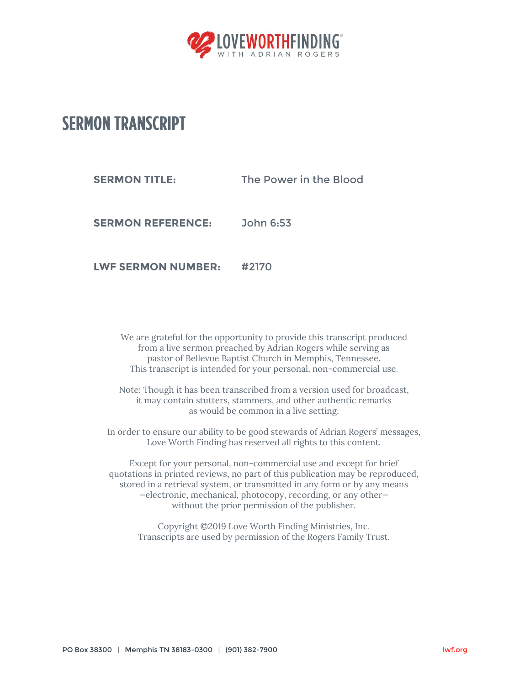

## **SERMON TRANSCRIPT**

**SERMON TITLE:** The Power in the Blood

**SERMON REFERENCE:** John 6:53

**LWF SERMON NUMBER:** #2170

We are grateful for the opportunity to provide this transcript produced from a live sermon preached by Adrian Rogers while serving as pastor of Bellevue Baptist Church in Memphis, Tennessee. This transcript is intended for your personal, non-commercial use.

Note: Though it has been transcribed from a version used for broadcast, it may contain stutters, stammers, and other authentic remarks as would be common in a live setting.

In order to ensure our ability to be good stewards of Adrian Rogers' messages, Love Worth Finding has reserved all rights to this content.

Except for your personal, non-commercial use and except for brief quotations in printed reviews, no part of this publication may be reproduced, stored in a retrieval system, or transmitted in any form or by any means —electronic, mechanical, photocopy, recording, or any other without the prior permission of the publisher.

Copyright ©2019 Love Worth Finding Ministries, Inc. Transcripts are used by permission of the Rogers Family Trust.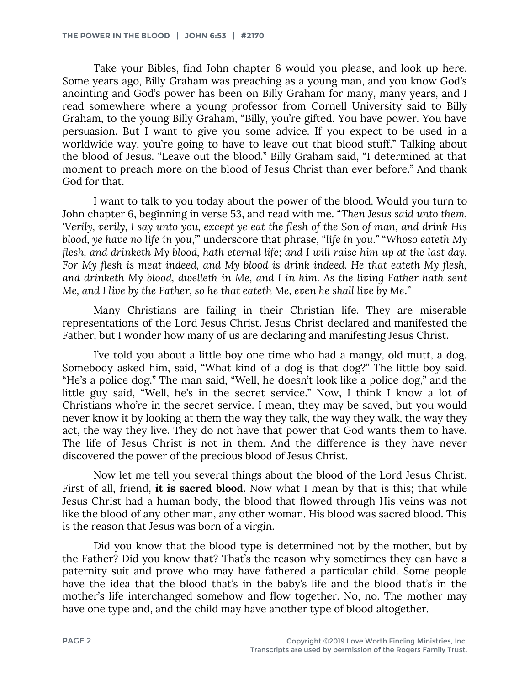Take your Bibles, find John chapter 6 would you please, and look up here. Some years ago, Billy Graham was preaching as a young man, and you know God's anointing and God's power has been on Billy Graham for many, many years, and I read somewhere where a young professor from Cornell University said to Billy Graham, to the young Billy Graham, "Billy, you're gifted. You have power. You have persuasion. But I want to give you some advice. If you expect to be used in a worldwide way, you're going to have to leave out that blood stuff." Talking about the blood of Jesus. "Leave out the blood." Billy Graham said, "I determined at that moment to preach more on the blood of Jesus Christ than ever before." And thank God for that.

I want to talk to you today about the power of the blood. Would you turn to John chapter 6, beginning in verse 53, and read with me. "*Then Jesus said unto them, 'Verily, verily, I say unto you, except ye eat the flesh of the Son of man, and drink His blood, ye have no life in you*,'" underscore that phrase, "*life in you*." "*Whoso eateth My flesh, and drinketh My blood, hath eternal life; and I will raise him up at the last day. For My flesh is meat indeed, and My blood is drink indeed. He that eateth My flesh, and drinketh My blood, dwelleth in Me, and I in him. As the living Father hath sent Me, and I live by the Father, so he that eateth Me, even he shall live by Me*."

Many Christians are failing in their Christian life. They are miserable representations of the Lord Jesus Christ. Jesus Christ declared and manifested the Father, but I wonder how many of us are declaring and manifesting Jesus Christ.

I've told you about a little boy one time who had a mangy, old mutt, a dog. Somebody asked him, said, "What kind of a dog is that dog?" The little boy said, "He's a police dog." The man said, "Well, he doesn't look like a police dog," and the little guy said, "Well, he's in the secret service." Now, I think I know a lot of Christians who're in the secret service. I mean, they may be saved, but you would never know it by looking at them the way they talk, the way they walk, the way they act, the way they live. They do not have that power that God wants them to have. The life of Jesus Christ is not in them. And the difference is they have never discovered the power of the precious blood of Jesus Christ.

Now let me tell you several things about the blood of the Lord Jesus Christ. First of all, friend, **it is sacred blood**. Now what I mean by that is this; that while Jesus Christ had a human body, the blood that flowed through His veins was not like the blood of any other man, any other woman. His blood was sacred blood. This is the reason that Jesus was born of a virgin.

Did you know that the blood type is determined not by the mother, but by the Father? Did you know that? That's the reason why sometimes they can have a paternity suit and prove who may have fathered a particular child. Some people have the idea that the blood that's in the baby's life and the blood that's in the mother's life interchanged somehow and flow together. No, no. The mother may have one type and, and the child may have another type of blood altogether.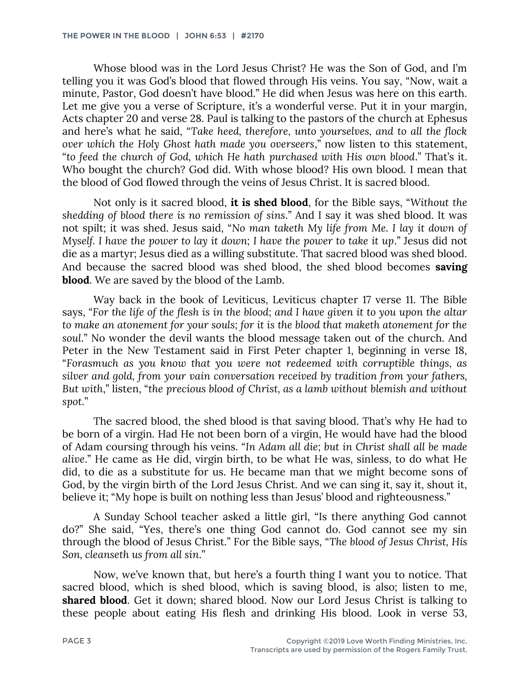Whose blood was in the Lord Jesus Christ? He was the Son of God, and I'm telling you it was God's blood that flowed through His veins. You say, "Now, wait a minute, Pastor, God doesn't have blood." He did when Jesus was here on this earth. Let me give you a verse of Scripture, it's a wonderful verse. Put it in your margin, Acts chapter 20 and verse 28. Paul is talking to the pastors of the church at Ephesus and here's what he said, "*Take heed, therefore, unto yourselves, and to all the flock over which the Holy Ghost hath made you overseers*," now listen to this statement, "*to feed the church of God, which He hath purchased with His own blood*." That's it. Who bought the church? God did. With whose blood? His own blood. I mean that the blood of God flowed through the veins of Jesus Christ. It is sacred blood.

Not only is it sacred blood, **it is shed blood**, for the Bible says, "*Without the shedding of blood there is no remission of sins*." And I say it was shed blood. It was not spilt; it was shed. Jesus said, "*No man taketh My life from Me. I lay it down of Myself. I have the power to lay it down; I have the power to take it up*." Jesus did not die as a martyr; Jesus died as a willing substitute. That sacred blood was shed blood. And because the sacred blood was shed blood, the shed blood becomes **saving blood**. We are saved by the blood of the Lamb.

Way back in the book of Leviticus, Leviticus chapter 17 verse 11. The Bible says, "*For the life of the flesh is in the blood; and I have given it to you upon the altar to make an atonement for your souls; for it is the blood that maketh atonement for the soul*." No wonder the devil wants the blood message taken out of the church. And Peter in the New Testament said in First Peter chapter 1, beginning in verse 18, "*Forasmuch as you know that you were not redeemed with corruptible things, as silver and gold, from your vain conversation received by tradition from your fathers, But with*," listen, "*the precious blood of Christ, as a lamb without blemish and without spot*."

The sacred blood, the shed blood is that saving blood. That's why He had to be born of a virgin. Had He not been born of a virgin, He would have had the blood of Adam coursing through his veins. "*In Adam all die; but in Christ shall all be made alive*." He came as He did, virgin birth, to be what He was, sinless, to do what He did, to die as a substitute for us. He became man that we might become sons of God, by the virgin birth of the Lord Jesus Christ. And we can sing it, say it, shout it, believe it; "My hope is built on nothing less than Jesus' blood and righteousness."

A Sunday School teacher asked a little girl, "Is there anything God cannot do?" She said, "Yes, there's one thing God cannot do. God cannot see my sin through the blood of Jesus Christ." For the Bible says, "*The blood of Jesus Christ, His Son, cleanseth us from all sin*."

Now, we've known that, but here's a fourth thing I want you to notice. That sacred blood, which is shed blood, which is saving blood, is also; listen to me, **shared blood**. Get it down; shared blood. Now our Lord Jesus Christ is talking to these people about eating His flesh and drinking His blood. Look in verse 53,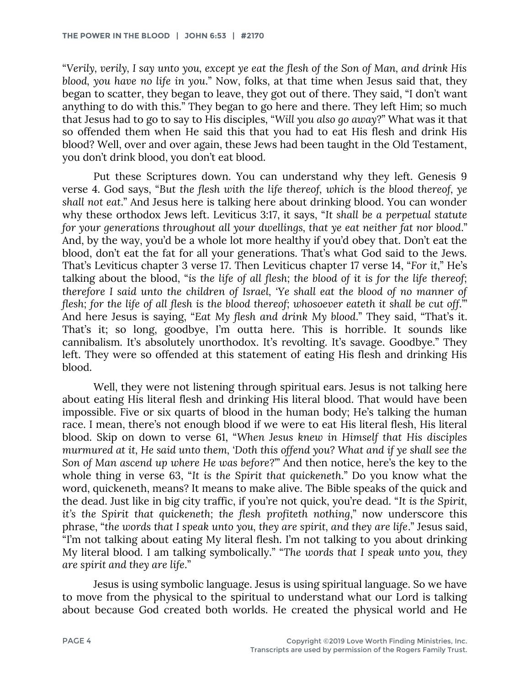"*Verily, verily, I say unto you, except ye eat the flesh of the Son of Man, and drink His blood, you have no life in you*." Now, folks, at that time when Jesus said that, they began to scatter, they began to leave, they got out of there. They said, "I don't want anything to do with this." They began to go here and there. They left Him; so much that Jesus had to go to say to His disciples, "*Will you also go away*?" What was it that so offended them when He said this that you had to eat His flesh and drink His blood? Well, over and over again, these Jews had been taught in the Old Testament, you don't drink blood, you don't eat blood.

Put these Scriptures down. You can understand why they left. Genesis 9 verse 4. God says, "*But the flesh with the life thereof, which is the blood thereof, ye shall not eat*." And Jesus here is talking here about drinking blood. You can wonder why these orthodox Jews left. Leviticus 3:17, it says, "*It shall be a perpetual statute for your generations throughout all your dwellings, that ye eat neither fat nor blood*." And, by the way, you'd be a whole lot more healthy if you'd obey that. Don't eat the blood, don't eat the fat for all your generations. That's what God said to the Jews. That's Leviticus chapter 3 verse 17. Then Leviticus chapter 17 verse 14, "*For it*," He's talking about the blood, "*is the life of all flesh; the blood of it is for the life thereof; therefore I said unto the children of Israel, 'Ye shall eat the blood of no manner of flesh; for the life of all flesh is the blood thereof; whosoever eateth it shall be cut off.*" And here Jesus is saying, "*Eat My flesh and drink My blood*." They said, "That's it. That's it; so long, goodbye, I'm outta here. This is horrible. It sounds like cannibalism. It's absolutely unorthodox. It's revolting. It's savage. Goodbye." They left. They were so offended at this statement of eating His flesh and drinking His blood.

Well, they were not listening through spiritual ears. Jesus is not talking here about eating His literal flesh and drinking His literal blood. That would have been impossible. Five or six quarts of blood in the human body; He's talking the human race. I mean, there's not enough blood if we were to eat His literal flesh, His literal blood. Skip on down to verse 61, "*When Jesus knew in Himself that His disciples murmured at it, He said unto them, 'Doth this offend you? What and if ye shall see the Son of Man ascend up where He was before*?'" And then notice, here's the key to the whole thing in verse 63, "*It is the Spirit that quickeneth*." Do you know what the word, quickeneth, means? It means to make alive. The Bible speaks of the quick and the dead. Just like in big city traffic, if you're not quick, you're dead. "*It is the Spirit, it's the Spirit that quickeneth; the flesh profiteth nothing*," now underscore this phrase, "*the words that I speak unto you, they are spirit, and they are life*." Jesus said, "I'm not talking about eating My literal flesh. I'm not talking to you about drinking My literal blood. I am talking symbolically." "*The words that I speak unto you, they are spirit and they are life*."

Jesus is using symbolic language. Jesus is using spiritual language. So we have to move from the physical to the spiritual to understand what our Lord is talking about because God created both worlds. He created the physical world and He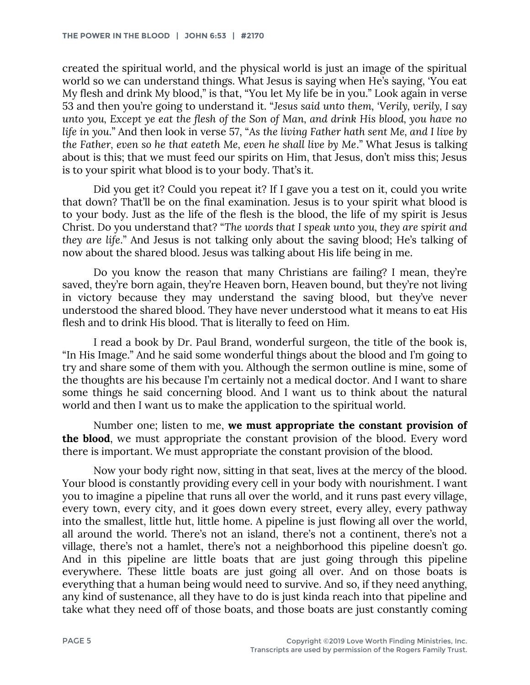created the spiritual world, and the physical world is just an image of the spiritual world so we can understand things. What Jesus is saying when He's saying, 'You eat My flesh and drink My blood," is that, "You let My life be in you." Look again in verse 53 and then you're going to understand it. "*Jesus said unto them, 'Verily, verily, I say unto you, Except ye eat the flesh of the Son of Man, and drink His blood, you have no life in you*." And then look in verse 57, "*As the living Father hath sent Me, and I live by the Father, even so he that eateth Me, even he shall live by Me*." What Jesus is talking about is this; that we must feed our spirits on Him, that Jesus, don't miss this; Jesus is to your spirit what blood is to your body. That's it.

Did you get it? Could you repeat it? If I gave you a test on it, could you write that down? That'll be on the final examination. Jesus is to your spirit what blood is to your body. Just as the life of the flesh is the blood, the life of my spirit is Jesus Christ. Do you understand that? "*The words that I speak unto you, they are spirit and they are life*." And Jesus is not talking only about the saving blood; He's talking of now about the shared blood. Jesus was talking about His life being in me.

Do you know the reason that many Christians are failing? I mean, they're saved, they're born again, they're Heaven born, Heaven bound, but they're not living in victory because they may understand the saving blood, but they've never understood the shared blood. They have never understood what it means to eat His flesh and to drink His blood. That is literally to feed on Him.

I read a book by Dr. Paul Brand, wonderful surgeon, the title of the book is, "In His Image." And he said some wonderful things about the blood and I'm going to try and share some of them with you. Although the sermon outline is mine, some of the thoughts are his because I'm certainly not a medical doctor. And I want to share some things he said concerning blood. And I want us to think about the natural world and then I want us to make the application to the spiritual world.

Number one; listen to me, **we must appropriate the constant provision of the blood**, we must appropriate the constant provision of the blood. Every word there is important. We must appropriate the constant provision of the blood.

Now your body right now, sitting in that seat, lives at the mercy of the blood. Your blood is constantly providing every cell in your body with nourishment. I want you to imagine a pipeline that runs all over the world, and it runs past every village, every town, every city, and it goes down every street, every alley, every pathway into the smallest, little hut, little home. A pipeline is just flowing all over the world, all around the world. There's not an island, there's not a continent, there's not a village, there's not a hamlet, there's not a neighborhood this pipeline doesn't go. And in this pipeline are little boats that are just going through this pipeline everywhere. These little boats are just going all over. And on those boats is everything that a human being would need to survive. And so, if they need anything, any kind of sustenance, all they have to do is just kinda reach into that pipeline and take what they need off of those boats, and those boats are just constantly coming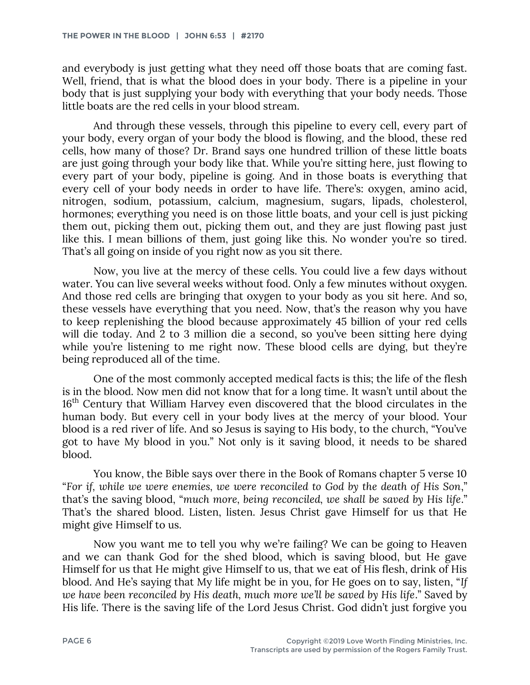and everybody is just getting what they need off those boats that are coming fast. Well, friend, that is what the blood does in your body. There is a pipeline in your body that is just supplying your body with everything that your body needs. Those little boats are the red cells in your blood stream.

And through these vessels, through this pipeline to every cell, every part of your body, every organ of your body the blood is flowing, and the blood, these red cells, how many of those? Dr. Brand says one hundred trillion of these little boats are just going through your body like that. While you're sitting here, just flowing to every part of your body, pipeline is going. And in those boats is everything that every cell of your body needs in order to have life. There's: oxygen, amino acid, nitrogen, sodium, potassium, calcium, magnesium, sugars, lipads, cholesterol, hormones; everything you need is on those little boats, and your cell is just picking them out, picking them out, picking them out, and they are just flowing past just like this. I mean billions of them, just going like this. No wonder you're so tired. That's all going on inside of you right now as you sit there.

Now, you live at the mercy of these cells. You could live a few days without water. You can live several weeks without food. Only a few minutes without oxygen. And those red cells are bringing that oxygen to your body as you sit here. And so, these vessels have everything that you need. Now, that's the reason why you have to keep replenishing the blood because approximately 45 billion of your red cells will die today. And 2 to 3 million die a second, so you've been sitting here dying while you're listening to me right now. These blood cells are dying, but they're being reproduced all of the time.

One of the most commonly accepted medical facts is this; the life of the flesh is in the blood. Now men did not know that for a long time. It wasn't until about the 16<sup>th</sup> Century that William Harvey even discovered that the blood circulates in the human body. But every cell in your body lives at the mercy of your blood. Your blood is a red river of life. And so Jesus is saying to His body, to the church, "You've got to have My blood in you." Not only is it saving blood, it needs to be shared blood.

You know, the Bible says over there in the Book of Romans chapter 5 verse 10 "*For if, while we were enemies, we were reconciled to God by the death of His Son*," that's the saving blood, "*much more, being reconciled, we shall be saved by His life*." That's the shared blood. Listen, listen. Jesus Christ gave Himself for us that He might give Himself to us.

Now you want me to tell you why we're failing? We can be going to Heaven and we can thank God for the shed blood, which is saving blood, but He gave Himself for us that He might give Himself to us, that we eat of His flesh, drink of His blood. And He's saying that My life might be in you, for He goes on to say, listen, "*If we have been reconciled by His death, much more we'll be saved by His life*." Saved by His life. There is the saving life of the Lord Jesus Christ. God didn't just forgive you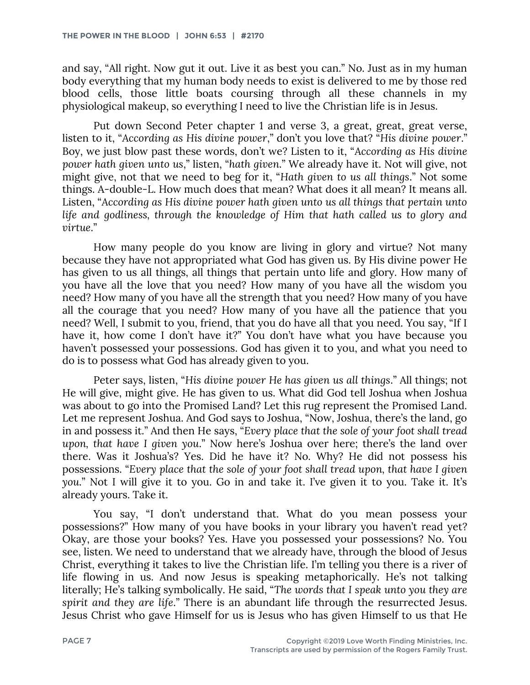and say, "All right. Now gut it out. Live it as best you can." No. Just as in my human body everything that my human body needs to exist is delivered to me by those red blood cells, those little boats coursing through all these channels in my physiological makeup, so everything I need to live the Christian life is in Jesus.

Put down Second Peter chapter 1 and verse 3, a great, great, great verse, listen to it, "*According as His divine power*," don't you love that? "*His divine power*." Boy, we just blow past these words, don't we? Listen to it, "*According as His divine power hath given unto us*," listen, "*hath given*." We already have it. Not will give, not might give, not that we need to beg for it, "*Hath given to us all things*." Not some things. A-double-L. How much does that mean? What does it all mean? It means all. Listen, "*According as His divine power hath given unto us all things that pertain unto life and godliness, through the knowledge of Him that hath called us to glory and virtue*."

How many people do you know are living in glory and virtue? Not many because they have not appropriated what God has given us. By His divine power He has given to us all things, all things that pertain unto life and glory. How many of you have all the love that you need? How many of you have all the wisdom you need? How many of you have all the strength that you need? How many of you have all the courage that you need? How many of you have all the patience that you need? Well, I submit to you, friend, that you do have all that you need. You say, "If I have it, how come I don't have it?" You don't have what you have because you haven't possessed your possessions. God has given it to you, and what you need to do is to possess what God has already given to you.

Peter says, listen, "*His divine power He has given us all things*." All things; not He will give, might give. He has given to us. What did God tell Joshua when Joshua was about to go into the Promised Land? Let this rug represent the Promised Land. Let me represent Joshua. And God says to Joshua, "Now, Joshua, there's the land, go in and possess it." And then He says, "*Every place that the sole of your foot shall tread upon, that have I given you*." Now here's Joshua over here; there's the land over there. Was it Joshua's? Yes. Did he have it? No. Why? He did not possess his possessions. "*Every place that the sole of your foot shall tread upon, that have I given you*." Not I will give it to you. Go in and take it. I've given it to you. Take it. It's already yours. Take it.

You say, "I don't understand that. What do you mean possess your possessions?" How many of you have books in your library you haven't read yet? Okay, are those your books? Yes. Have you possessed your possessions? No. You see, listen. We need to understand that we already have, through the blood of Jesus Christ, everything it takes to live the Christian life. I'm telling you there is a river of life flowing in us. And now Jesus is speaking metaphorically. He's not talking literally; He's talking symbolically. He said, "*The words that I speak unto you they are spirit and they are life*." There is an abundant life through the resurrected Jesus. Jesus Christ who gave Himself for us is Jesus who has given Himself to us that He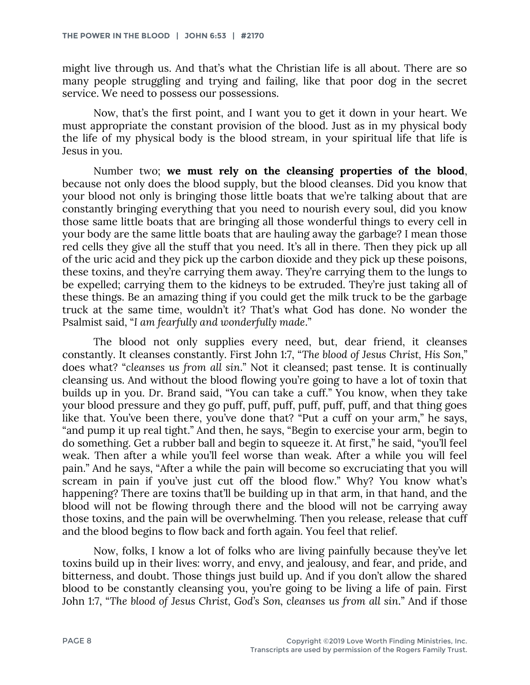might live through us. And that's what the Christian life is all about. There are so many people struggling and trying and failing, like that poor dog in the secret service. We need to possess our possessions.

Now, that's the first point, and I want you to get it down in your heart. We must appropriate the constant provision of the blood. Just as in my physical body the life of my physical body is the blood stream, in your spiritual life that life is Jesus in you.

Number two; **we must rely on the cleansing properties of the blood**, because not only does the blood supply, but the blood cleanses. Did you know that your blood not only is bringing those little boats that we're talking about that are constantly bringing everything that you need to nourish every soul, did you know those same little boats that are bringing all those wonderful things to every cell in your body are the same little boats that are hauling away the garbage? I mean those red cells they give all the stuff that you need. It's all in there. Then they pick up all of the uric acid and they pick up the carbon dioxide and they pick up these poisons, these toxins, and they're carrying them away. They're carrying them to the lungs to be expelled; carrying them to the kidneys to be extruded. They're just taking all of these things. Be an amazing thing if you could get the milk truck to be the garbage truck at the same time, wouldn't it? That's what God has done. No wonder the Psalmist said, "*I am fearfully and wonderfully made*."

The blood not only supplies every need, but, dear friend, it cleanses constantly. It cleanses constantly. First John 1:7, "*The blood of Jesus Christ, His Son*," does what? "*cleanses us from all sin*." Not it cleansed; past tense. It is continually cleansing us. And without the blood flowing you're going to have a lot of toxin that builds up in you. Dr. Brand said, "You can take a cuff." You know, when they take your blood pressure and they go puff, puff, puff, puff, puff, puff, and that thing goes like that. You've been there, you've done that? "Put a cuff on your arm," he says, "and pump it up real tight." And then, he says, "Begin to exercise your arm, begin to do something. Get a rubber ball and begin to squeeze it. At first," he said, "you'll feel weak. Then after a while you'll feel worse than weak. After a while you will feel pain." And he says, "After a while the pain will become so excruciating that you will scream in pain if you've just cut off the blood flow." Why? You know what's happening? There are toxins that'll be building up in that arm, in that hand, and the blood will not be flowing through there and the blood will not be carrying away those toxins, and the pain will be overwhelming. Then you release, release that cuff and the blood begins to flow back and forth again. You feel that relief.

Now, folks, I know a lot of folks who are living painfully because they've let toxins build up in their lives: worry, and envy, and jealousy, and fear, and pride, and bitterness, and doubt. Those things just build up. And if you don't allow the shared blood to be constantly cleansing you, you're going to be living a life of pain. First John 1:7, "*The blood of Jesus Christ, God's Son, cleanses us from all sin*." And if those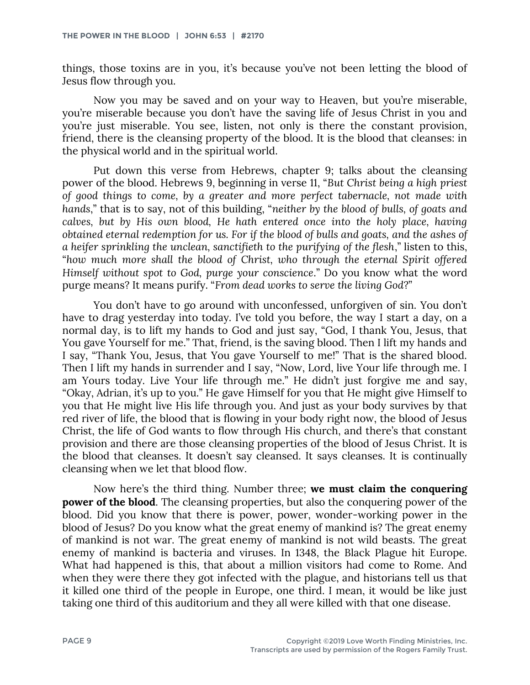things, those toxins are in you, it's because you've not been letting the blood of Jesus flow through you.

Now you may be saved and on your way to Heaven, but you're miserable, you're miserable because you don't have the saving life of Jesus Christ in you and you're just miserable. You see, listen, not only is there the constant provision, friend, there is the cleansing property of the blood. It is the blood that cleanses: in the physical world and in the spiritual world.

Put down this verse from Hebrews, chapter 9; talks about the cleansing power of the blood. Hebrews 9, beginning in verse 11, "*But Christ being a high priest of good things to come, by a greater and more perfect tabernacle, not made with hands*," that is to say, not of this building, "*neither by the blood of bulls, of goats and calves, but by His own blood, He hath entered once into the holy place, having obtained eternal redemption for us. For if the blood of bulls and goats, and the ashes of a heifer sprinkling the unclean, sanctifieth to the purifying of the flesh*," listen to this, "*how much more shall the blood of Christ, who through the eternal Spirit offered Himself without spot to God, purge your conscience*." Do you know what the word purge means? It means purify. "*From dead works to serve the living God*?"

You don't have to go around with unconfessed, unforgiven of sin. You don't have to drag yesterday into today. I've told you before, the way I start a day, on a normal day, is to lift my hands to God and just say, "God, I thank You, Jesus, that You gave Yourself for me." That, friend, is the saving blood. Then I lift my hands and I say, "Thank You, Jesus, that You gave Yourself to me!" That is the shared blood. Then I lift my hands in surrender and I say, "Now, Lord, live Your life through me. I am Yours today. Live Your life through me." He didn't just forgive me and say, "Okay, Adrian, it's up to you." He gave Himself for you that He might give Himself to you that He might live His life through you. And just as your body survives by that red river of life, the blood that is flowing in your body right now, the blood of Jesus Christ, the life of God wants to flow through His church, and there's that constant provision and there are those cleansing properties of the blood of Jesus Christ. It is the blood that cleanses. It doesn't say cleansed. It says cleanses. It is continually cleansing when we let that blood flow.

Now here's the third thing. Number three; **we must claim the conquering power of the blood**. The cleansing properties, but also the conquering power of the blood. Did you know that there is power, power, wonder-working power in the blood of Jesus? Do you know what the great enemy of mankind is? The great enemy of mankind is not war. The great enemy of mankind is not wild beasts. The great enemy of mankind is bacteria and viruses. In 1348, the Black Plague hit Europe. What had happened is this, that about a million visitors had come to Rome. And when they were there they got infected with the plague, and historians tell us that it killed one third of the people in Europe, one third. I mean, it would be like just taking one third of this auditorium and they all were killed with that one disease.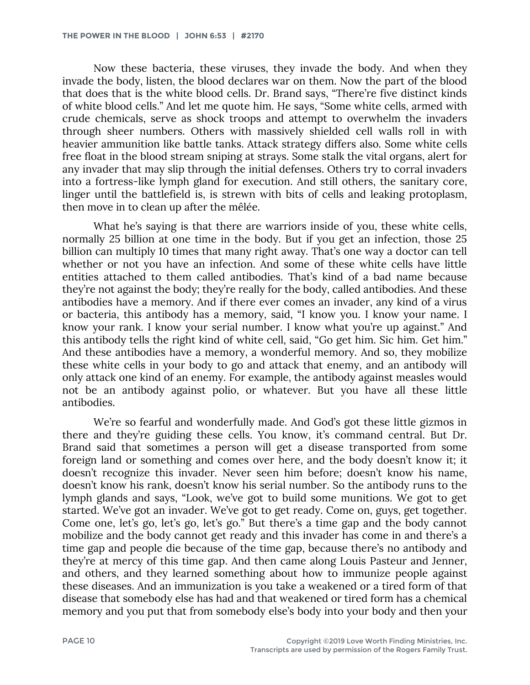Now these bacteria, these viruses, they invade the body. And when they invade the body, listen, the blood declares war on them. Now the part of the blood that does that is the white blood cells. Dr. Brand says, "There're five distinct kinds of white blood cells." And let me quote him. He says, "Some white cells, armed with crude chemicals, serve as shock troops and attempt to overwhelm the invaders through sheer numbers. Others with massively shielded cell walls roll in with heavier ammunition like battle tanks. Attack strategy differs also. Some white cells free float in the blood stream sniping at strays. Some stalk the vital organs, alert for any invader that may slip through the initial defenses. Others try to corral invaders into a fortress-like lymph gland for execution. And still others, the sanitary core, linger until the battlefield is, is strewn with bits of cells and leaking protoplasm, then move in to clean up after the mêlée.

What he's saying is that there are warriors inside of you, these white cells, normally 25 billion at one time in the body. But if you get an infection, those 25 billion can multiply 10 times that many right away. That's one way a doctor can tell whether or not you have an infection. And some of these white cells have little entities attached to them called antibodies. That's kind of a bad name because they're not against the body; they're really for the body, called antibodies. And these antibodies have a memory. And if there ever comes an invader, any kind of a virus or bacteria, this antibody has a memory, said, "I know you. I know your name. I know your rank. I know your serial number. I know what you're up against." And this antibody tells the right kind of white cell, said, "Go get him. Sic him. Get him." And these antibodies have a memory, a wonderful memory. And so, they mobilize these white cells in your body to go and attack that enemy, and an antibody will only attack one kind of an enemy. For example, the antibody against measles would not be an antibody against polio, or whatever. But you have all these little antibodies.

We're so fearful and wonderfully made. And God's got these little gizmos in there and they're guiding these cells. You know, it's command central. But Dr. Brand said that sometimes a person will get a disease transported from some foreign land or something and comes over here, and the body doesn't know it; it doesn't recognize this invader. Never seen him before; doesn't know his name, doesn't know his rank, doesn't know his serial number. So the antibody runs to the lymph glands and says, "Look, we've got to build some munitions. We got to get started. We've got an invader. We've got to get ready. Come on, guys, get together. Come one, let's go, let's go, let's go." But there's a time gap and the body cannot mobilize and the body cannot get ready and this invader has come in and there's a time gap and people die because of the time gap, because there's no antibody and they're at mercy of this time gap. And then came along Louis Pasteur and Jenner, and others, and they learned something about how to immunize people against these diseases. And an immunization is you take a weakened or a tired form of that disease that somebody else has had and that weakened or tired form has a chemical memory and you put that from somebody else's body into your body and then your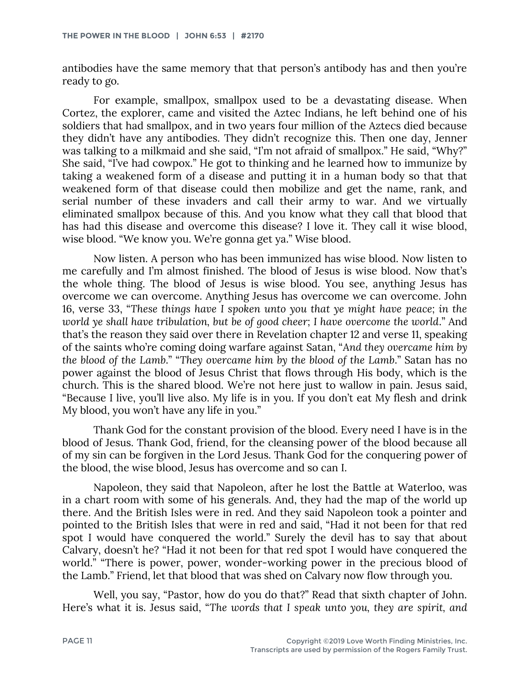antibodies have the same memory that that person's antibody has and then you're ready to go.

For example, smallpox, smallpox used to be a devastating disease. When Cortez, the explorer, came and visited the Aztec Indians, he left behind one of his soldiers that had smallpox, and in two years four million of the Aztecs died because they didn't have any antibodies. They didn't recognize this. Then one day, Jenner was talking to a milkmaid and she said, "I'm not afraid of smallpox." He said, "Why?" She said, "I've had cowpox." He got to thinking and he learned how to immunize by taking a weakened form of a disease and putting it in a human body so that that weakened form of that disease could then mobilize and get the name, rank, and serial number of these invaders and call their army to war. And we virtually eliminated smallpox because of this. And you know what they call that blood that has had this disease and overcome this disease? I love it. They call it wise blood, wise blood. "We know you. We're gonna get ya." Wise blood.

Now listen. A person who has been immunized has wise blood. Now listen to me carefully and I'm almost finished. The blood of Jesus is wise blood. Now that's the whole thing. The blood of Jesus is wise blood. You see, anything Jesus has overcome we can overcome. Anything Jesus has overcome we can overcome. John 16, verse 33, "*These things have I spoken unto you that ye might have peace; in the world ye shall have tribulation, but be of good cheer; I have overcome the world.*" And that's the reason they said over there in Revelation chapter 12 and verse 11, speaking of the saints who're coming doing warfare against Satan, "*And they overcame him by the blood of the Lamb*." "*They overcame him by the blood of the Lamb*." Satan has no power against the blood of Jesus Christ that flows through His body, which is the church. This is the shared blood. We're not here just to wallow in pain. Jesus said, "Because I live, you'll live also. My life is in you. If you don't eat My flesh and drink My blood, you won't have any life in you."

Thank God for the constant provision of the blood. Every need I have is in the blood of Jesus. Thank God, friend, for the cleansing power of the blood because all of my sin can be forgiven in the Lord Jesus. Thank God for the conquering power of the blood, the wise blood, Jesus has overcome and so can I.

Napoleon, they said that Napoleon, after he lost the Battle at Waterloo, was in a chart room with some of his generals. And, they had the map of the world up there. And the British Isles were in red. And they said Napoleon took a pointer and pointed to the British Isles that were in red and said, "Had it not been for that red spot I would have conquered the world." Surely the devil has to say that about Calvary, doesn't he? "Had it not been for that red spot I would have conquered the world." "There is power, power, wonder-working power in the precious blood of the Lamb." Friend, let that blood that was shed on Calvary now flow through you.

Well, you say, "Pastor, how do you do that?" Read that sixth chapter of John. Here's what it is. Jesus said, "*The words that I speak unto you, they are spirit, and*